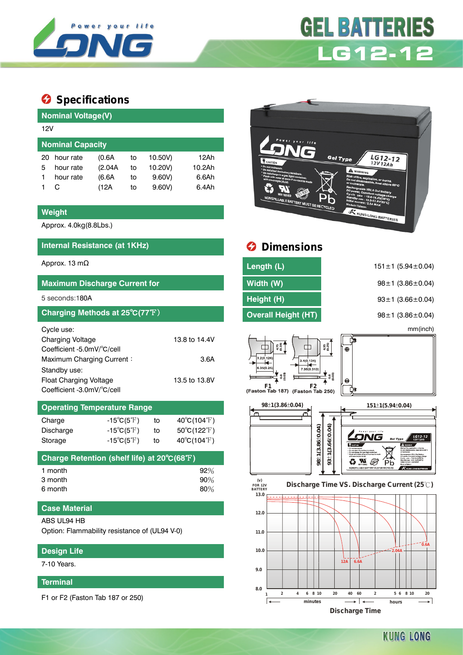

# **GEL BATTERIES LG12-12**

## **Specifications**

| <b>Nominal Voltage(V)</b> |           |         |    |         |        |  |  |  |  |
|---------------------------|-----------|---------|----|---------|--------|--|--|--|--|
|                           | 12V       |         |    |         |        |  |  |  |  |
| <b>Nominal Capacity</b>   |           |         |    |         |        |  |  |  |  |
| 20                        | hour rate | (0.6A)  | to | 10.50V) | 12Ah   |  |  |  |  |
| 5                         | hour rate | (2.04A) | to | 10.20V) | 10.2Ah |  |  |  |  |
|                           | hour rate | (6.6A   | to | 9.60V   | 6.6Ah  |  |  |  |  |
|                           |           | (12A    | to | 9.60V   | 6.4Ah  |  |  |  |  |

#### **Weight**

Approx. 4.0kg(8.8Lbs.)

### **Internal Resistance (at 1KHz)**

| Cycle use:                    |               |
|-------------------------------|---------------|
| <b>Charging Voltage</b>       | 13.8 to 14.4V |
| Coefficient -5.0mV/°C/cell    |               |
| Maximum Charging Current:     | 3.6A          |
| Standby use:                  |               |
| <b>Float Charging Voltage</b> | 13.5 to 13.8V |
| Coefficient -3.0mV/°C/cell    |               |

#### **Operating Temperature Range**

| Charge    | $-15^{\circ}C(5^{\circ}F)$ | to | $40^{\circ}C(104^{\circ}F)$      |
|-----------|----------------------------|----|----------------------------------|
| Discharge | $-15^{\circ}C(5^{\circ}F)$ | to | $50^{\circ}C(122^{\circ}F)$      |
| Storage   | $-15^{\circ}C(5^{\circ}F)$ | to | $40^{\circ}$ C(104 $^{\circ}$ F) |

| Charge Retention (shelf life) at 20°C(68°F) |        |
|---------------------------------------------|--------|
| 1 month                                     | $92\%$ |
| 3 month                                     | 90%    |
| 6 month                                     | 80%    |

#### **Case Material**

#### ABS UL94 HB

Option: Flammability resistance of (UL94 V-0)

### **Design Life**

7-10 Years.

#### **Terminal**

F1 or F2 (Faston Tab 187 or 250)



| Internal Resistance (at 1KHz)                                                                                                       |                                        | <b>Dimensions</b>                                                                                                                                           |                                       |
|-------------------------------------------------------------------------------------------------------------------------------------|----------------------------------------|-------------------------------------------------------------------------------------------------------------------------------------------------------------|---------------------------------------|
| Approx. 13 m $\Omega$                                                                                                               |                                        | Length (L)                                                                                                                                                  | $151 \pm 1$ (5.94 $\pm$ 0.04)         |
| <b>Maximum Discharge Current for</b>                                                                                                |                                        | Width (W)                                                                                                                                                   | $98 \pm 1$ (3.86 $\pm$ 0.04)          |
| 5 seconds:180A                                                                                                                      |                                        | Height (H)                                                                                                                                                  | $93 \pm 1$ (3.66 $\pm$ 0.04)          |
| Charging Methods at 25°C(77°F)                                                                                                      |                                        | <b>Overall Height (HT)</b>                                                                                                                                  | $98 \pm 1$ (3.86 $\pm$ 0.04)          |
| Cycle use:<br>Charging Voltage<br>Coefficient -5.0mV/°C/cell<br>Maximum Charging Current:<br>Standby use:<br>Float Charging Voltage | 13.8 to 14.4V<br>3.6A<br>13.5 to 13.8V | $4.76$<br>$4.6$<br>$10$<br>$6.35$<br>$(0.25)$<br>3.2(0.126)<br>3.4(0.134)<br>6.35(0.25)<br>7.95(0.313)<br>$\frac{8}{6}$<br>F <sub>1</sub><br>F <sub>2</sub> | mm(inch)<br>ᇽ<br>$\oplus$<br>$\Theta$ |
| Coefficient -3.0mV/°C/cell                                                                                                          |                                        | (Faston Tab 187) (Faston Tab 250)                                                                                                                           |                                       |